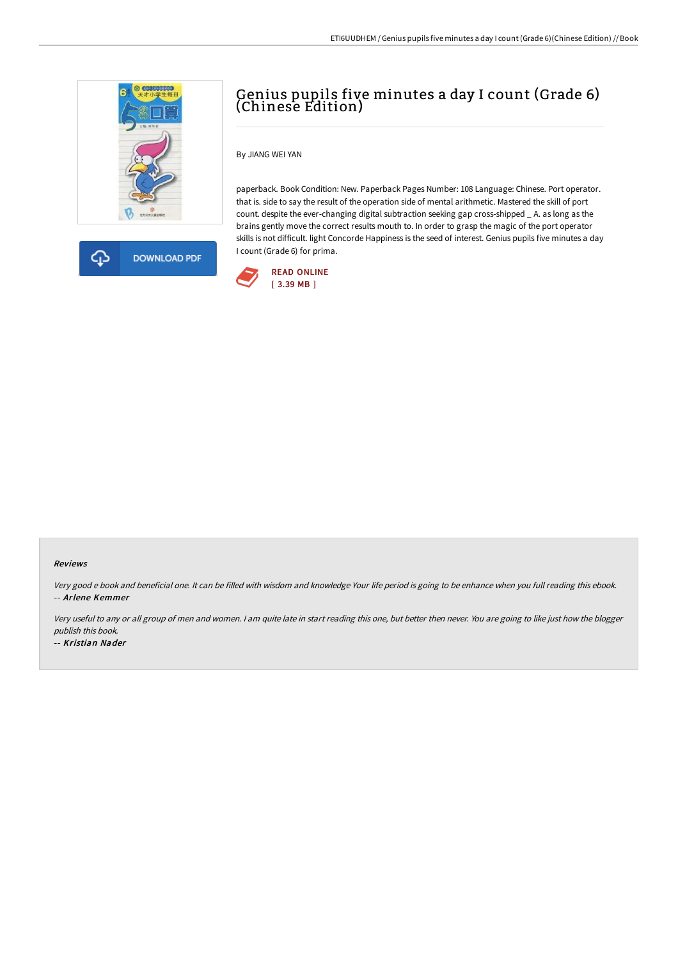



# Genius pupils five minutes a day I count (Grade 6) (Chinese Edition)

By JIANG WEI YAN

paperback. Book Condition: New. Paperback Pages Number: 108 Language: Chinese. Port operator. that is. side to say the result of the operation side of mental arithmetic. Mastered the skill of port count. despite the ever-changing digital subtraction seeking gap cross-shipped \_ A. as long as the brains gently move the correct results mouth to. In order to grasp the magic of the port operator skills is not difficult. light Concorde Happiness is the seed of interest. Genius pupils five minutes a day I count (Grade 6) for prima.



#### Reviews

Very good <sup>e</sup> book and beneficial one. It can be filled with wisdom and knowledge Your life period is going to be enhance when you full reading this ebook. -- Arlene Kemmer

Very useful to any or all group of men and women. I am quite late in start reading this one, but better then never. You are going to like just how the blogger publish this book.

-- Kristian Nader